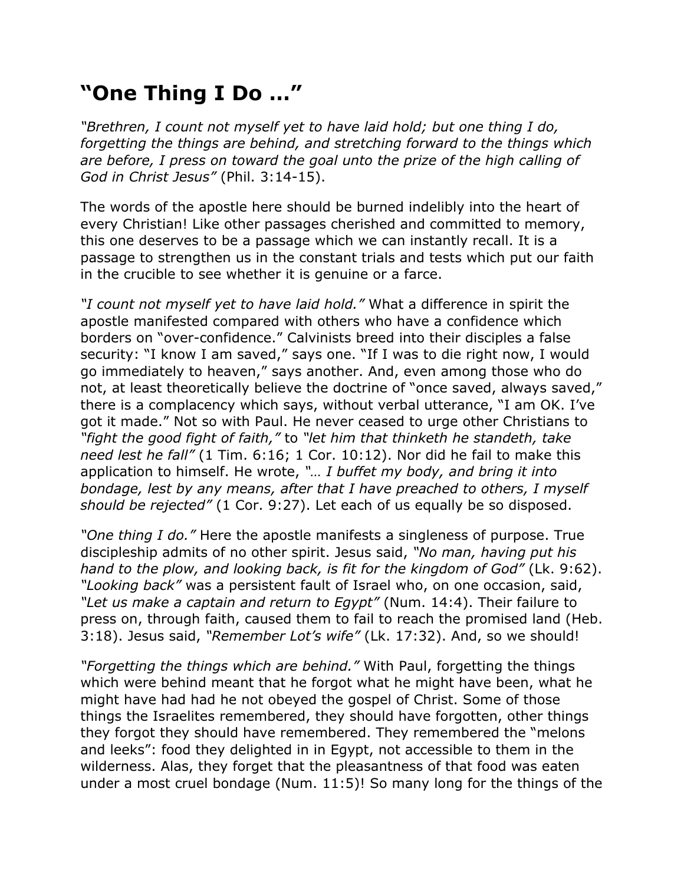## **"One Thing I Do …"**

*"Brethren, I count not myself yet to have laid hold; but one thing I do, forgetting the things are behind, and stretching forward to the things which are before, I press on toward the goal unto the prize of the high calling of God in Christ Jesus"* (Phil. 3:14-15).

The words of the apostle here should be burned indelibly into the heart of every Christian! Like other passages cherished and committed to memory, this one deserves to be a passage which we can instantly recall. It is a passage to strengthen us in the constant trials and tests which put our faith in the crucible to see whether it is genuine or a farce.

*"I count not myself yet to have laid hold."* What a difference in spirit the apostle manifested compared with others who have a confidence which borders on "over-confidence." Calvinists breed into their disciples a false security: "I know I am saved," says one. "If I was to die right now, I would go immediately to heaven," says another. And, even among those who do not, at least theoretically believe the doctrine of "once saved, always saved," there is a complacency which says, without verbal utterance, "I am OK. I've got it made." Not so with Paul. He never ceased to urge other Christians to *"fight the good fight of faith,"* to *"let him that thinketh he standeth, take need lest he fall"* (1 Tim. 6:16; 1 Cor. 10:12). Nor did he fail to make this application to himself. He wrote, *"… I buffet my body, and bring it into bondage, lest by any means, after that I have preached to others, I myself should be rejected"* (1 Cor. 9:27). Let each of us equally be so disposed.

*"One thing I do."* Here the apostle manifests a singleness of purpose. True discipleship admits of no other spirit. Jesus said, *"No man, having put his hand to the plow, and looking back, is fit for the kingdom of God"* (Lk. 9:62). *"Looking back"* was a persistent fault of Israel who, on one occasion, said, *"Let us make a captain and return to Egypt"* (Num. 14:4). Their failure to press on, through faith, caused them to fail to reach the promised land (Heb. 3:18). Jesus said, *"Remember Lot's wife"* (Lk. 17:32). And, so we should!

*"Forgetting the things which are behind."* With Paul, forgetting the things which were behind meant that he forgot what he might have been, what he might have had had he not obeyed the gospel of Christ. Some of those things the Israelites remembered, they should have forgotten, other things they forgot they should have remembered. They remembered the "melons and leeks": food they delighted in in Egypt, not accessible to them in the wilderness. Alas, they forget that the pleasantness of that food was eaten under a most cruel bondage (Num. 11:5)! So many long for the things of the